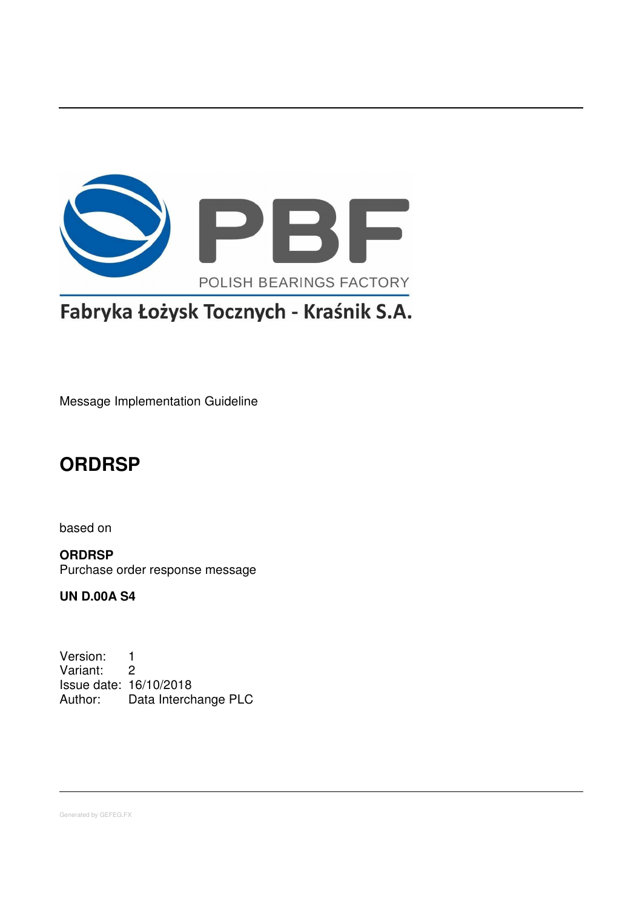

# Fabryka Łożysk Tocznych - Kraśnik S.A.

Message Implementation Guideline

# **ORDRSP**

based on

**ORDRSP** Purchase order response message

**UN D.00A S4**

Version: 1 Variant: 2 Issue date: 16/10/2018 Author: Data Interchange PLC

Generated by GEFEG.FX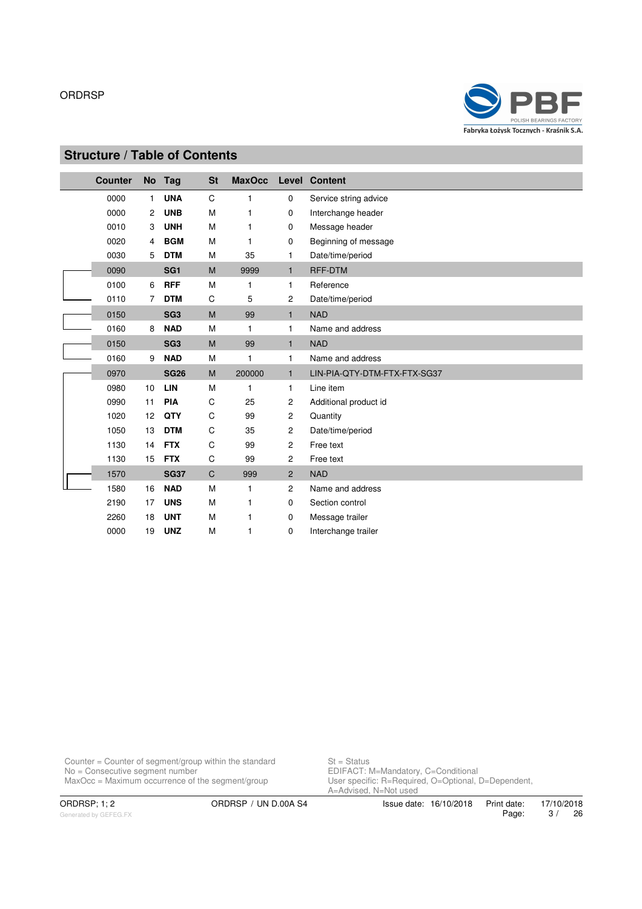

# **Structure / Table of Contents**

| <b>Counter</b> |                | No Tag          | <b>St</b>    | <b>MaxOcc</b> |                | <b>Level Content</b>         |
|----------------|----------------|-----------------|--------------|---------------|----------------|------------------------------|
| 0000           | $\mathbf{1}$   | <b>UNA</b>      | C            | 1             | 0              | Service string advice        |
| 0000           | $\overline{2}$ | <b>UNB</b>      | M            | 1             | 0              | Interchange header           |
| 0010           | 3              | <b>UNH</b>      | M            | 1             | 0              | Message header               |
| 0020           | $\overline{4}$ | <b>BGM</b>      | M            | 1             | 0              | Beginning of message         |
| 0030           | 5              | <b>DTM</b>      | M            | 35            | 1              | Date/time/period             |
| 0090           |                | SG <sub>1</sub> | M            | 9999          | $\mathbf{1}$   | <b>RFF-DTM</b>               |
| 0100           | 6              | <b>RFF</b>      | M            | 1             | 1              | Reference                    |
| 0110           | $\overline{7}$ | <b>DTM</b>      | C            | 5             | $\mathbf{2}$   | Date/time/period             |
| 0150           |                | SG <sub>3</sub> | M            | 99            | $\mathbf{1}$   | <b>NAD</b>                   |
| 0160           | 8              | <b>NAD</b>      | M            | 1             | $\mathbf{1}$   | Name and address             |
| 0150           |                | SG <sub>3</sub> | M            | 99            | $\mathbf{1}$   | <b>NAD</b>                   |
| 0160           | 9              | <b>NAD</b>      | M            | 1             | $\mathbf{1}$   | Name and address             |
| 0970           |                | <b>SG26</b>     | M            | 200000        | $\mathbf{1}$   | LIN-PIA-QTY-DTM-FTX-FTX-SG37 |
| 0980           | 10             | LIN             | M            | 1             | $\mathbf{1}$   | Line item                    |
| 0990           | 11             | <b>PIA</b>      | C            | 25            | 2              | Additional product id        |
| 1020           | 12             | QTY             | C            | 99            | $\overline{c}$ | Quantity                     |
| 1050           | 13             | <b>DTM</b>      | C            | 35            | $\overline{c}$ | Date/time/period             |
| 1130           | 14             | <b>FTX</b>      | C            | 99            | $\overline{c}$ | Free text                    |
| 1130           | 15             | <b>FTX</b>      | C            | 99            | $\overline{c}$ | Free text                    |
| 1570           |                | <b>SG37</b>     | $\mathsf{C}$ | 999           | $\overline{2}$ | <b>NAD</b>                   |
| 1580           | 16             | <b>NAD</b>      | M            | 1             | $\overline{c}$ | Name and address             |
| 2190           | 17             | <b>UNS</b>      | M            | 1             | 0              | Section control              |
| 2260           | 18             | <b>UNT</b>      | M            | 1             | 0              | Message trailer              |
| 0000           | 19             | <b>UNZ</b>      | M            | 1             | $\mathbf 0$    | Interchange trailer          |

Counter = Counter of segment/group within the standard  $St = Status$ No = Consecutive segment number example and the EDIFACT: M=Mandatory, C=Conditional MaxOcc = Maximum occurrence of the segment/group User specific: R=Required, O=Optional, D=Dependent,

St = Status<br>EDIFACT: M=Mandatory, C=Conditional<br>User specific: R=Required, O=Optional, D=Dependent,<br>A=Advised, N=Not used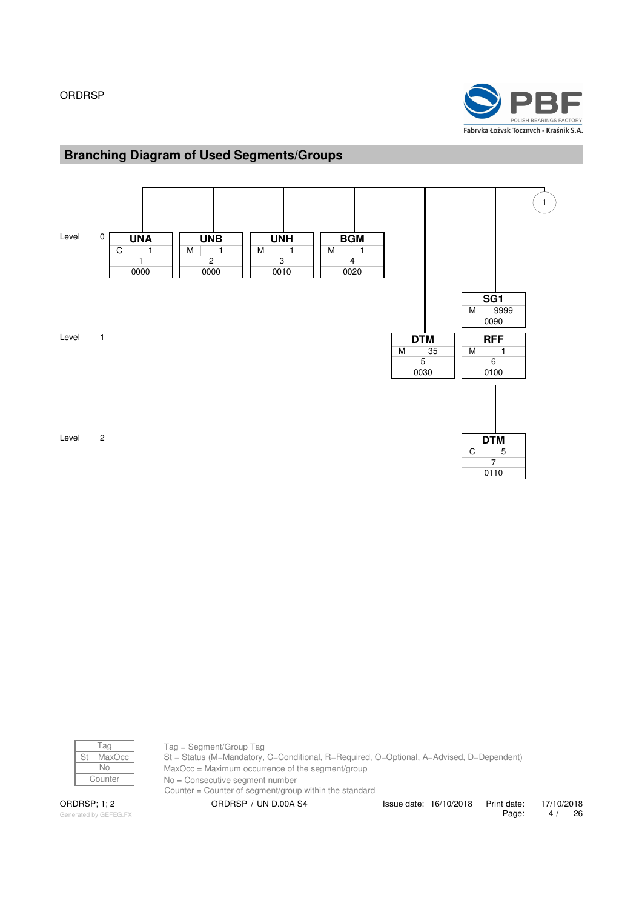

# **Branching Diagram of Used Segments/Groups**



| Άd       |
|----------|
| MaxC     |
| $\Omega$ |
| ounter,  |
|          |

Tag = Segment/Group Tag St = Status (M=Mandatory, C=Conditional, R=Required, O=Optional, A=Advised, D=Dependent)  $MaxOcc = Maximum occurrence of the segment/group$ No = Consecutive segment number Counter = Counter of segment/group within the standard ORDRSP; 1; 2 ORDRSP / UN D.00A S4 Issue date: 16/10/2018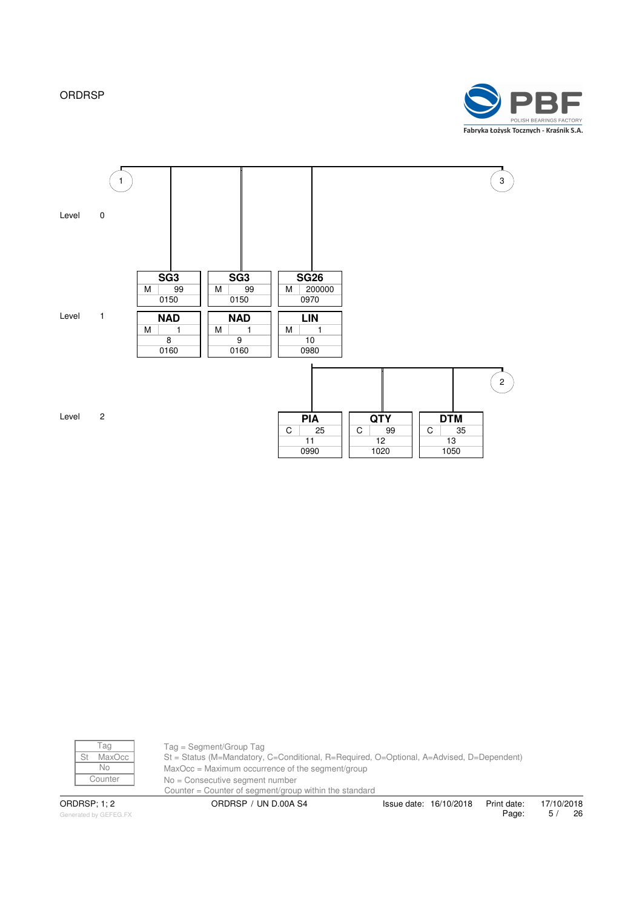



| aa           |
|--------------|
| MaxC<br>C.C. |
|              |
| ;ounter      |
|              |

Tag = Segment/Group Tag St = Status (M=Mandatory, C=Conditional, R=Required, O=Optional, A=Advised, D=Dependent) MaxOcc = Maximum occurrence of the segment/group  $No = Consecutive segment number$ Counter = Counter of segment/group within the standard ORDRSP; 1; 2 ORDRSP / UN D.00A S4 Issue date: 16/10/2018

Generated by GEFEG.FX

Print date: 17/10/2018<br>Page: 5/ 26 Page: 5 / 26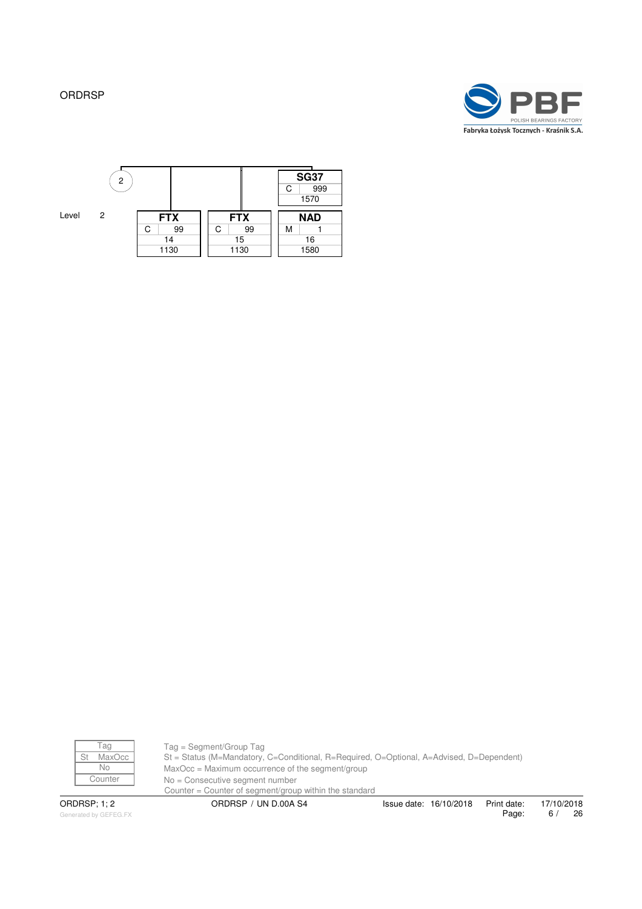





Tag Tag = Segment/Group Tag St MaxOcc St = Status (M=Mandatory, C=Conditional, R=Required, O=Optional, A=Advised, D=Dependent)<br>No MaxOcc = Maximum occurrence of the segment/group  $\begin{array}{c|c}\n\hline\n\text{No} & \text{MaxOcc} = \text{Maximum occurrence of the segment/group} \\
\hline\n\text{Counter} & \text{No} = \text{Consecutive semantic number}\n\end{array}$ No = Consecutive segment number Counter = Counter of segment/group within the standard ORDRSP; 1; 2 ORDRSP / UN D.00A S4 Issue date: 16/10/2018

Generated by GEFEG.FX

Print date: 17/10/2018<br>Page: 6 / 26 Page: 6 / 26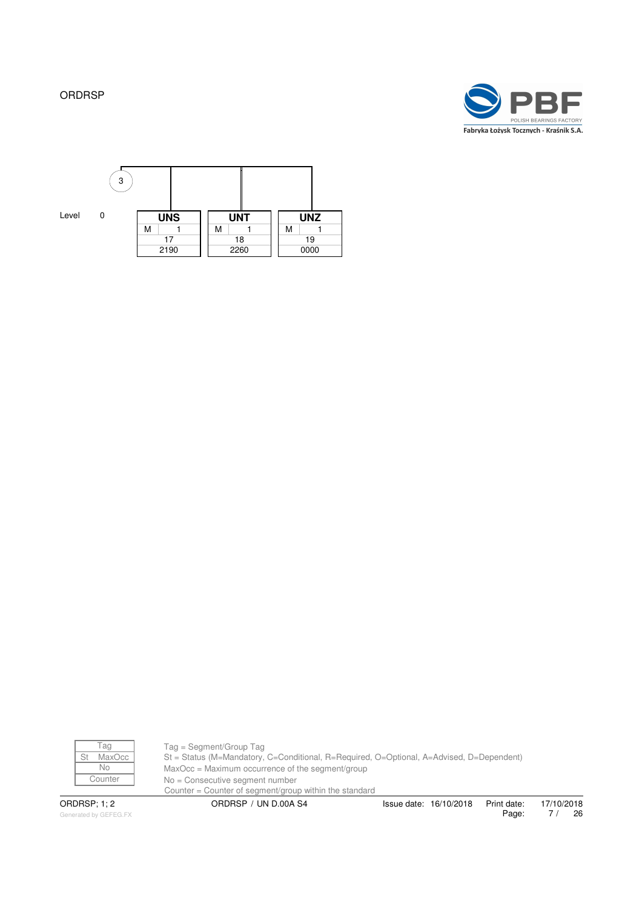





Tag Tag = Segment/Group Tag St MaxOcc St = Status (M=Mandatory, C=Conditional, R=Required, O=Optional, A=Advised, D=Dependent)<br>No MaxOcc = Maximum occurrence of the segment/group  $\begin{array}{c|c}\n\hline\n\text{No} & \text{MaxOcc} = \text{Maximum occurrence of the segment/group} \\
\hline\n\text{Counter} & \text{No} = \text{Consecutive secment number}\n\end{array}$ No = Consecutive segment number Counter = Counter of segment/group within the standard ORDRSP; 1; 2 ORDRSP / UN D.00A S4 Issue date: 16/10/2018

Generated by GEFEG.FX

Print date: 17/10/2018<br>Page: 7/ 26 7 / 26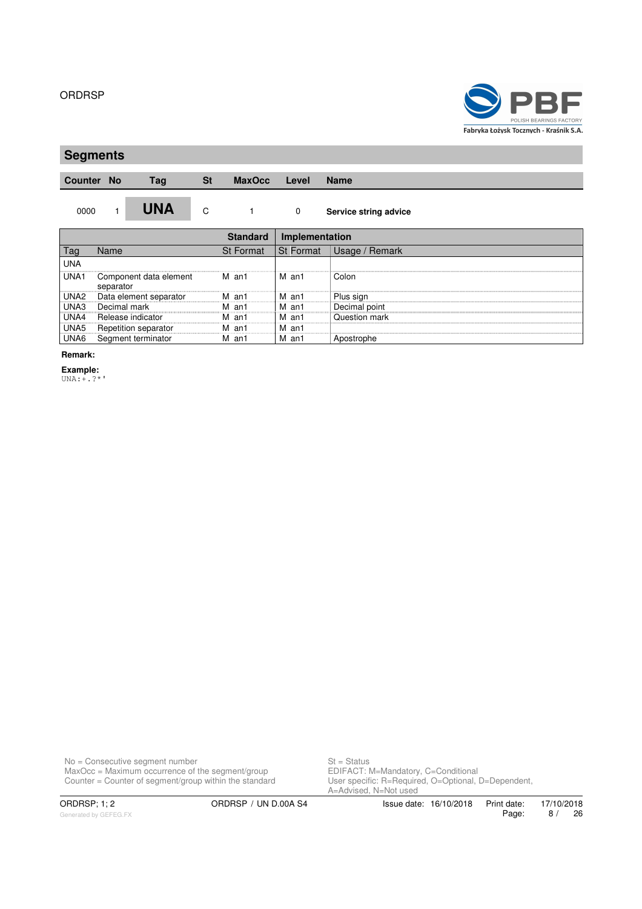

# **Segments**

**Counter No Tag St MaxOcc Level Name**

0000 1 **UNA** C 1 0 **Service string advice**

|      |                                     |                  | Implementation    |                      |  |  |
|------|-------------------------------------|------------------|-------------------|----------------------|--|--|
|      | Name                                | <b>St Format</b> | <b>St Format</b>  | Remark<br>Jsage /    |  |  |
| UNA  |                                     |                  |                   |                      |  |  |
| UNA1 | Component data element<br>separator | м<br>an1         | M an1             | Colon                |  |  |
| UNA2 | Data element separator              | м<br>an1         | M an1<br>         | Plus sign            |  |  |
| UNA3 | Decimal mark                        | an1              | an1               | Decimal point        |  |  |
| UNA4 | Release indicator                   | an1              | an1<br>---------- | <b>Ouestion mark</b> |  |  |
| UNA5 | Repetition separator                | м<br>an1         | M an1             |                      |  |  |
| UNA6 | Segment terminator                  | м<br>an1         | м<br>an1          | Apostrophe           |  |  |

**Remark:**

**Example:** UNA:+.?\*'

No = Consecutive segment number St = Status MaxOcc = Maximum occurrence of the segment/group **EDIFACT: M=Mandatory, C=Conditional** Counter = Counter of segment/group within the standard User specific: R=Required, O=Optional, D=Dependent,

or – Janus<br>EDIFACT: M=Mandatory, C=Conditional<br>User specific: R=Required, O=Optional, D=Dependent,<br>A=Advised, N=Not used

ORDRSP; 1; 2 ORDRSP / UN D.00A S4 Issue date: 16/10/2018 Print date: 17/10/2018<br>Page: 8 / 26 Page: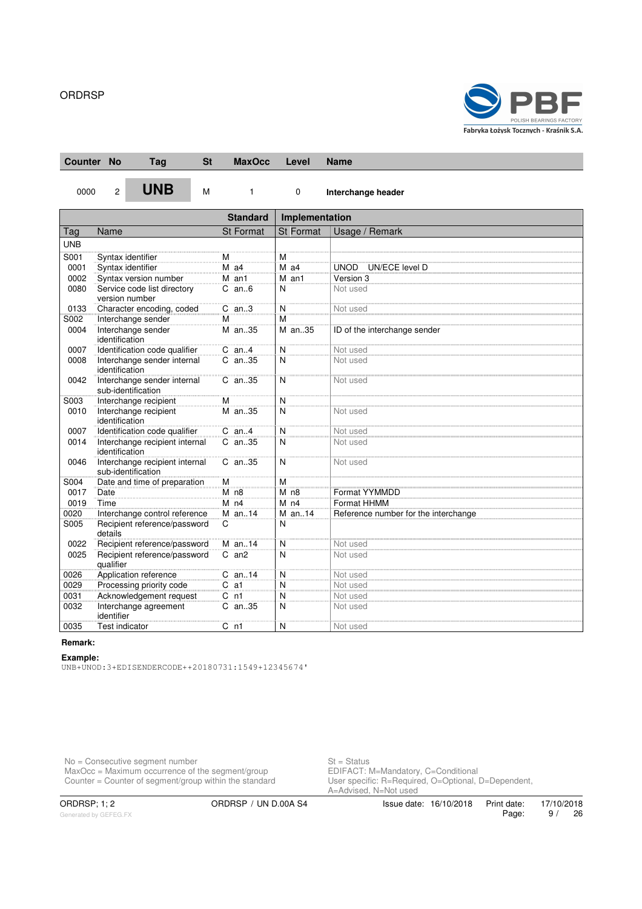

| <b>Counter No</b> |                | <b>Tag</b>                                           | <b>St</b> | <b>MaxOcc</b>    |                | Level            | <b>Name</b>                          |
|-------------------|----------------|------------------------------------------------------|-----------|------------------|----------------|------------------|--------------------------------------|
| 0000              | $\overline{2}$ | <b>UNB</b>                                           | M         | $\mathbf{1}$     |                | $\mathbf 0$      | Interchange header                   |
|                   |                |                                                      |           | <b>Standard</b>  |                | Implementation   |                                      |
| Tag               | Name           |                                                      |           | <b>St Format</b> |                | <b>St Format</b> | Usage / Remark                       |
| <b>UNB</b>        |                |                                                      |           |                  |                |                  |                                      |
| S001              |                | Syntax identifier                                    |           | м                | Μ              |                  |                                      |
| 0001              |                | Syntax identifier                                    |           | $M$ a4           |                | $M$ a4           | UNOD UN/ECE level D                  |
| 0002              |                | Syntax version number                                |           | M an1            |                | M an1            | Version 3                            |
| 0080              |                | Service code list directory<br>version number        |           | $C$ an $6$       | N              |                  | Not used                             |
| 0133              |                | Character encoding, coded                            |           | $C$ an3          | $\overline{N}$ |                  | Not used                             |
| S002              |                | Interchange sender                                   |           | M                | M              |                  |                                      |
| 0004              |                | Interchange sender<br>identification                 |           | M an35           |                | M an35           | ID of the interchange sender         |
| 0007              |                | Identification code qualifier                        |           | $C$ an4          | N              |                  | Not used                             |
| 0008              |                | Interchange sender internal<br>identification        |           | C an35           | $\overline{N}$ |                  | Not used                             |
| 0042              |                | Interchange sender internal<br>sub-identification    |           | C an35           | N              |                  | Not used                             |
| S003              |                | Interchange recipient                                |           | M                | N              |                  |                                      |
| 0010              |                | Interchange recipient<br>identification              |           | M an35           | $\overline{N}$ |                  | Not used                             |
| 0007              |                | Identification code qualifier                        |           | $C$ an $4$       | Ñ              |                  | Not used                             |
| 0014              |                | Interchange recipient internal<br>identification     |           | $C$ an. 35       | N              |                  | Not used                             |
| 0046              |                | Interchange recipient internal<br>sub-identification |           | C an35           | N              |                  | Not used                             |
| S004              |                | Date and time of preparation                         |           | M                | M              |                  |                                      |
| 0017              | Date           |                                                      |           | $M$ n8           |                | M n8             | Format YYMMDD                        |
| 0019              | Time           |                                                      |           | $M$ n4           |                | $M$ n4           | Format HHMM                          |
| 0020              |                | Interchange control reference                        |           | $M$ an. 14       |                | M an14           | Reference number for the interchange |
| S005              | details        | Recipient reference/password                         |           | C                | N              |                  |                                      |
| 0022              |                | Recipient reference/password                         |           | $M$ an. 14       | N              |                  | Not used                             |
| 0025              | qualifier      | Recipient reference/password                         |           | $C$ an $2$       | N              |                  | Not used                             |
| 0026              |                | Application reference                                |           | $C$ an14         | N              |                  | Not used                             |
| 0029              |                | Processing priority code                             |           | $C$ a1           | N              |                  | Not used                             |
| 0031              |                | Acknowledgement request                              |           | C <sub>n1</sub>  | N              |                  | Not used                             |
| 0032              | identifier     | Interchange agreement                                |           | C an35           | N              |                  | Not used                             |
| 0035              |                | <b>Test indicator</b>                                |           | $C_{n1}$         | Ñ              |                  | Not used                             |

# **Remark:**

#### **Example:**

UNB+UNOD:3+EDISENDERCODE++20180731:1549+12345674'

No = Consecutive segment number St = Status MaxOcc = Maximum occurrence of the segment/group **EDIFACT: M=Mandatory, C=Conditional** 

Counter = Counter of segment/group within the standard User specific: R=Required, O=Optional, D=Dependent, St = Status<br>EDIFACT: M=Mandatory, C=Conditional<br>User specific: R=Required, O=Optional, D=Dependent,<br>A=Advised, N=Not used

Generated by GEFEG.FX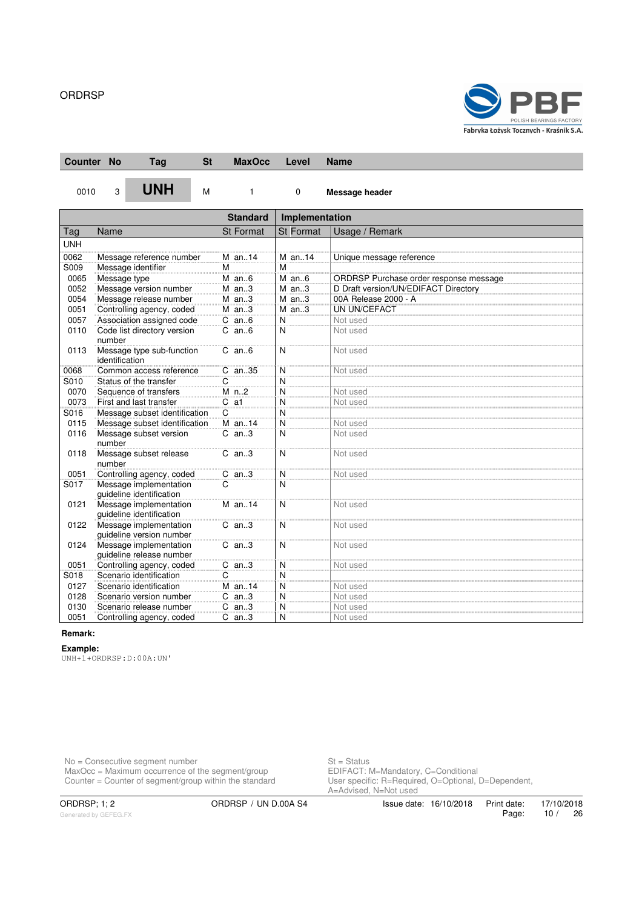

| <b>Counter No</b> |                | <b>Tag</b>                                         | <b>St</b> | <b>MaxOcc</b>    | Level            | Name                                   |
|-------------------|----------------|----------------------------------------------------|-----------|------------------|------------------|----------------------------------------|
| 0010              | 3              | <b>UNH</b>                                         | M         | 1                | $\mathbf 0$      | Message header                         |
|                   |                |                                                    |           | <b>Standard</b>  | Implementation   |                                        |
| Tag               | Name           |                                                    |           | <b>St Format</b> | <b>St Format</b> | Usage / Remark                         |
| <b>UNH</b>        |                |                                                    |           |                  |                  |                                        |
| 0062              |                | Message reference number                           |           | M an14           | M an14           | Unique message reference               |
| S009              |                | Message identifier                                 |           | M                | M                |                                        |
| 0065              | Message type   |                                                    |           | $M$ an6          | $M$ an $6$       | ORDRSP Purchase order response message |
| 0052              |                | Message version number                             |           | $M$ an3          | $M$ an3          | D Draft version/UN/EDIFACT Directory   |
| 0054              |                | Message release number                             |           | $M$ an3          | $M$ an3          | 00A Release 2000 - A                   |
| 0051              |                | Controlling agency, coded                          |           | $M$ an3          | $M$ an3          | UN UN/CEFACT                           |
| 0057              |                | Association assigned code                          |           | $C$ an $6$       | N                | Not used                               |
| 0110              | number         | Code list directory version                        |           | $C$ an $6$       | N                | Not used                               |
| 0113              | identification | Message type sub-function                          |           | $C$ an $6$       | N                | Not used                               |
| 0068              |                | Common access reference                            |           | C an35           | N                | Not used                               |
| S010              |                | Status of the transfer                             |           | C                | N                |                                        |
| 0070              |                | Sequence of transfers                              |           | $M$ n2           | N                | Not used                               |
| 0073              |                | First and last transfer                            |           | $C$ a1           | N                | Not used                               |
| S016              |                | Message subset identification                      |           | C                | $\overline{N}$   |                                        |
| 0115              |                | Message subset identification                      |           | M an14           | N                | Not used                               |
| 0116              | number         | Message subset version                             |           | $C$ an. $3$      | N                | Not used                               |
| 0118              | number         | Message subset release                             |           | $C$ an3          | N                | Not used                               |
| 0051              |                | Controlling agency, coded                          |           | $C$ an3          | N                | Not used                               |
| S017              |                | Message implementation<br>quideline identification |           | C                | N                |                                        |
| 0121              |                | Message implementation<br>quideline identification |           | $M$ an. 14       | N                | Not used                               |
| 0122              |                | Message implementation<br>quideline version number |           | $C$ an. $3$      | N                | Not used                               |
| 0124              |                | Message implementation<br>guideline release number |           | $C$ an3          | N                | Not used                               |
| 0051              |                | Controlling agency, coded                          |           | $C$ an3          | N                | Not used                               |
| S018              |                | Scenario identification                            |           | C                | N                |                                        |
| 0127              |                | Scenario identification                            |           | M an14           | N                | Not used                               |
| 0128              |                | Scenario version number                            |           | $C$ an3          | N                | Not used                               |
| 0130              |                | Scenario release number                            |           | $C$ an3          | Ñ                | Not used                               |
| 0051              |                | Controlling agency, coded                          |           | $C$ an3          | N                | Not used                               |

#### **Remark:**

**Example:**

UNH+1+ORDRSP:D:00A:UN'

No = Consecutive segment number St = Status MaxOcc = Maximum occurrence of the segment/group **EDIFACT: M=Mandatory, C=Conditional** 

Counter = Counter of segment/group within the standard User specific: R=Required, O=Optional, D=Dependent, St = Status<br>EDIFACT: M=Mandatory, C=Conditional<br>User specific: R=Required, O=Optional, D=Dependent,<br>A=Advised, N=Not used

Generated by GEFEG.FX

ORDRSP; 1; 2 ORDRSP / UN D.00A S4 Issue date: 16/10/2018 Print date: 17/10/2018<br>Page: 10 / 26 Page: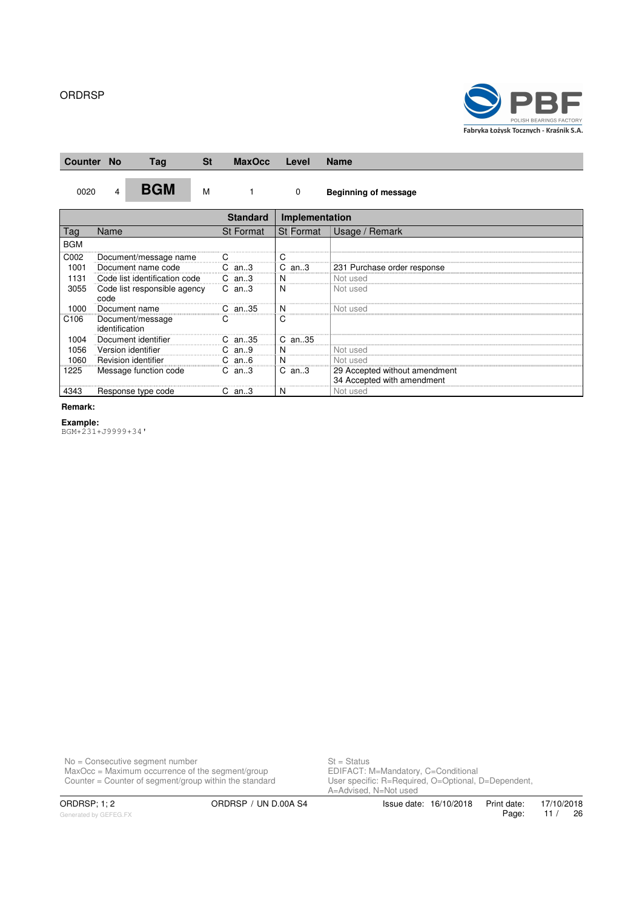

| <b>Counter No</b> |                |   | Tag                           | <b>St</b> | <b>MaxOcc</b>    | Level          | <b>Name</b>                                                 |
|-------------------|----------------|---|-------------------------------|-----------|------------------|----------------|-------------------------------------------------------------|
| 0020              |                | 4 | <b>BGM</b>                    | M         |                  | 0              | <b>Beginning of message</b>                                 |
|                   |                |   |                               |           | <b>Standard</b>  | Implementation |                                                             |
| Tag               | Name           |   |                               |           | <b>St Format</b> | St Format      | Usage / Remark                                              |
| <b>BGM</b>        |                |   |                               |           |                  |                |                                                             |
| C002              |                |   | Document/message name         |           |                  |                |                                                             |
| 1001              |                |   | Document name code            |           | $C$ an3          | an3<br>C       | 231 Purchase order response                                 |
| 1131              |                |   | Code list identification code |           | $C$ an3          | N              | Not used                                                    |
| 3055              | code           |   | Code list responsible agency  |           | $C$ an3          | N              | Not used                                                    |
| 1000              |                |   | Document name                 |           | $C$ an35         |                | Not usec                                                    |
| C <sub>106</sub>  | identification |   | Document/message              |           | С                | C              |                                                             |
| 1004              |                |   | Document identifier           |           | an35             | $C$ an35       |                                                             |
| 1056              |                |   | Version identifier            |           | С<br>an9         |                | Not used                                                    |
| 1060              |                |   | Revision identifier           |           | C<br>an. 6       | N              | Not used                                                    |
| 1225              |                |   | Message function code         |           | $C$ an3          | $C$ an3        | 29 Accepted without amendment<br>34 Accepted with amendment |
| 4343              |                |   | Response type code            |           | an3              | N              | Not used                                                    |

**Remark:**

**Example:** BGM+231+J9999+34'

No = Consecutive segment number St = Status MaxOcc = Maximum occurrence of the segment/group **EDIFACT: M=Mandatory, C=Conditional** 

Counter = Counter of segment/group within the standard User specific: R=Required, O=Optional, D=Dependent, St = Status<br>EDIFACT: M=Mandatory, C=Conditional<br>User specific: R=Required, O=Optional, D=Dependent,<br>A=Advised, N=Not used

ORDRSP; 1; 2 ORDRSP / UN D.00A S4 Issue date: 16/10/2018 Print date: 17/10/2018<br>Page: 11 / 26 11 / 26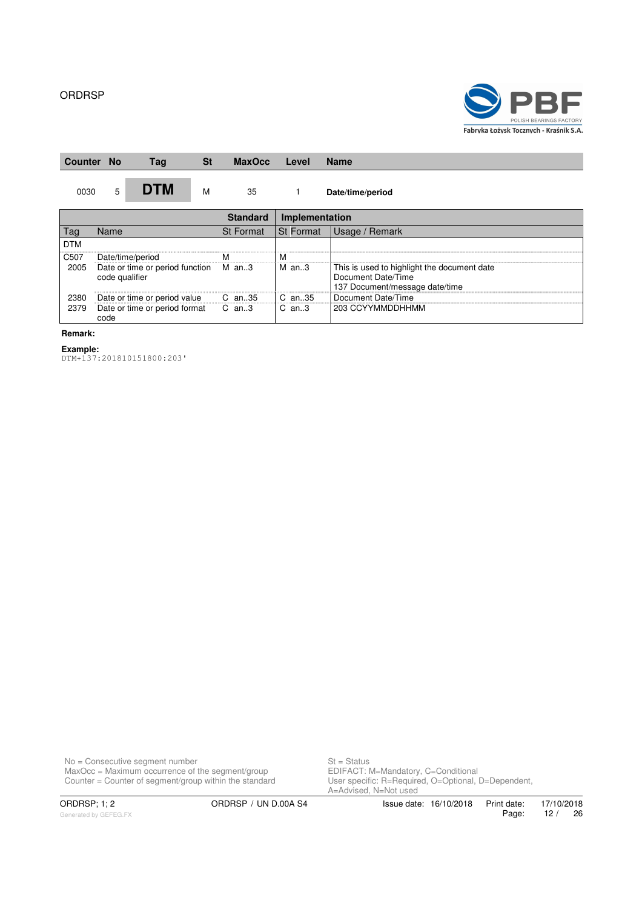

| Counter    | <b>No</b>                                               |   | Tag                           | St | <b>MaxOcc</b>    | Level                                                                                               | <b>Name</b>        |
|------------|---------------------------------------------------------|---|-------------------------------|----|------------------|-----------------------------------------------------------------------------------------------------|--------------------|
| 0030       |                                                         | 5 | <b>DTM</b>                    | M  | 35               |                                                                                                     | Date/time/period   |
|            |                                                         |   |                               |    | <b>Standard</b>  | Implementation                                                                                      |                    |
| Tag        | Name                                                    |   |                               |    | <b>St Format</b> | St Format                                                                                           | Usage / Remark     |
| <b>DTM</b> |                                                         |   |                               |    |                  |                                                                                                     |                    |
| C507       |                                                         |   | Date/time/period              |    | ΙVΙ              | M                                                                                                   |                    |
| 2005       | Date or time or period function M an3<br>code qualifier |   |                               |    | $M$ an3          | This is used to highlight the document date<br>Document Date/Time<br>137 Document/message date/time |                    |
| 2380       |                                                         |   | Date or time or period value  |    | C an35           | C an35                                                                                              | Document Date/Time |
| 2379       | code                                                    |   | Date or time or period format |    | C an3            | $C$ an3                                                                                             | 203 CCYYMMDDHHMM   |

#### **Remark:**

**Example:**

DTM+137:201810151800:203'

No = Consecutive segment number St = Status MaxOcc = Maximum occurrence of the segment/group **EDIFACT: M=Mandatory, C=Conditional** 

Counter = Counter of segment/group within the standard User specific: R=Required, O=Optional, D=Dependent, St = Status<br>EDIFACT: M=Mandatory, C=Conditional<br>User specific: R=Required, O=Optional, D=Dependent,<br>A=Advised, N=Not used

Generated by GEFEG.FX

ORDRSP; 1; 2 ORDRSP / UN D.00A S4 Issue date: 16/10/2018 Print date: 17/10/2018<br>Page: 12 / 26 Page: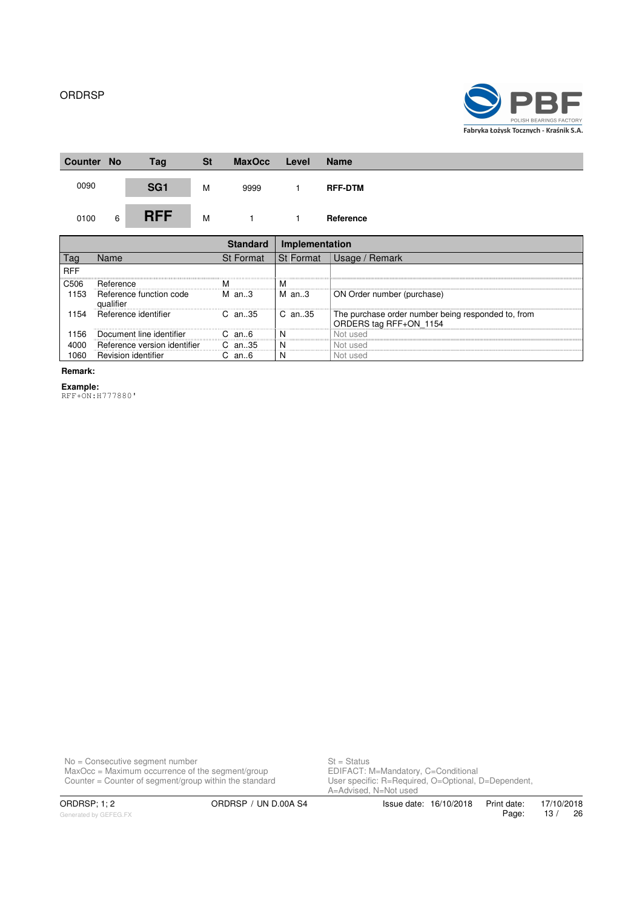

| <b>Counter No</b> | Tag             | <b>St</b> | <b>MaxOcc</b>   | Level                                                    | <b>Name</b>                                     |
|-------------------|-----------------|-----------|-----------------|----------------------------------------------------------|-------------------------------------------------|
|                   | SG <sub>1</sub> | M         | 9999            |                                                          | <b>RFF-DTM</b>                                  |
| 6                 | <b>RFF</b>      | M         |                 |                                                          | Reference                                       |
|                   |                 |           | <b>Standard</b> | Implementation                                           |                                                 |
|                   | $N = 1$         |           |                 | $Q_1$ $\Gamma$ $\sim$ $\sim$ $\sim$ $\sim$ $\sim$ $\sim$ | $\overline{OA}$ $\overline{CA}$ $\overline{OA}$ |

|            | Name                                 | <b>St Format</b> | l St Format | <b>Remark</b><br>Usage /                                                     |
|------------|--------------------------------------|------------------|-------------|------------------------------------------------------------------------------|
| <b>RFF</b> |                                      |                  |             |                                                                              |
| C506       | Reference                            | м                | M           |                                                                              |
| ' 153      | Reference function code<br>qualifier | $M$ an3          | M an3       | ON Order number (purchase)                                                   |
| 154        | Reference identifier                 | $C$ an. 35       | l C an35    | The purchase order number being responded to, from<br>ORDERS tag RFF+ON_1154 |
| 156        | Document line identifier             | −an 6            |             | Not used                                                                     |
|            | Reference version identifier         | $C$ an 35        |             | Not used                                                                     |
|            | Revision identifier                  | an6              |             | usec                                                                         |

#### **Remark:**

**Example:**

RFF+ON:H777880'

No = Consecutive segment number St = Status MaxOcc = Maximum occurrence of the segment/group **EDIFACT: M=Mandatory, C=Conditional** 

Counter = Counter of segment/group within the standard User specific: R=Required, O=Optional, D=Dependent, St = Status<br>EDIFACT: M=Mandatory, C=Conditional<br>User specific: R=Required, O=Optional, D=Dependent,<br>A=Advised, N=Not used

ORDRSP; 1; 2 ORDRSP / UN D.00A S4 Issue date: 16/10/2018 Print date: 17/10/2018<br>Page: 13 / 26 Page: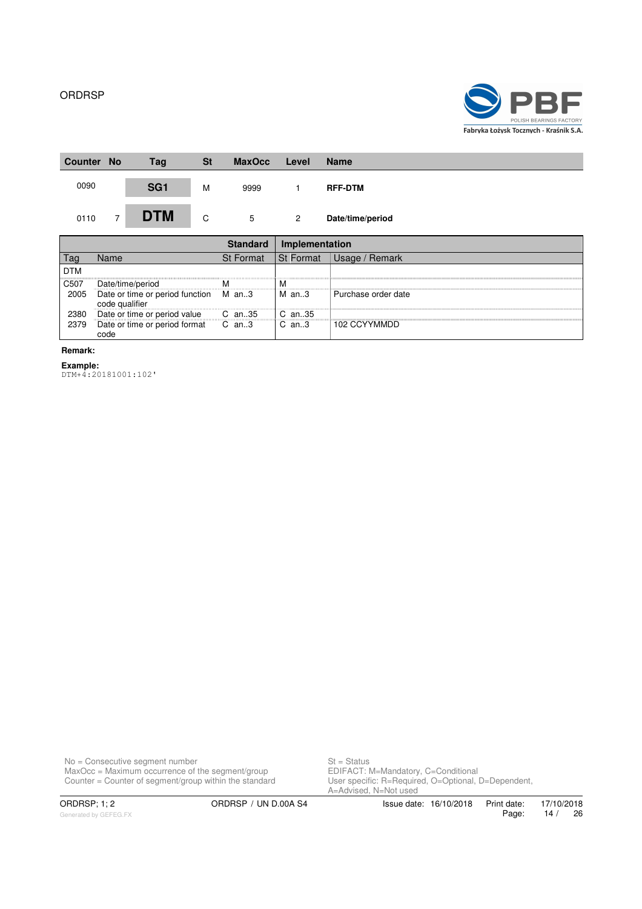

| <b>Counter</b> | <b>No</b> | Tag             | <b>St</b> | <b>MaxOcc</b> | Level | <b>Name</b>      |
|----------------|-----------|-----------------|-----------|---------------|-------|------------------|
| 0090           |           | SG <sub>1</sub> | M         | 9999          |       | <b>RFF-DTM</b>   |
| 0110           | 7         | <b>DTM</b>      | C         | 5             | 2     | Date/time/period |

|                   |                                                   |                  | Implementation   |                     |
|-------------------|---------------------------------------------------|------------------|------------------|---------------------|
|                   | Name                                              | <b>St Format</b> | <b>St Format</b> | Remark<br>Usage /   |
| <b>DTM</b>        |                                                   |                  |                  |                     |
| C <sub>50</sub> 7 | Date/time/period                                  |                  | M                |                     |
| 2005              | Date or time or period function<br>code qualifier | M an3            | M an3            | Purchase order date |
| 2380              | Date or time or period value                      | $C$ an $.35$     | $C$ an. 35       |                     |
| 2379              | Date or time or period format<br>code             | $C$ an3          | $C$ an3          | 102 CCYYMMDD        |

**Remark:**

**Example:** DTM+4:20181001:102'

No = Consecutive segment number St = Status MaxOcc = Maximum occurrence of the segment/group **EDIFACT: M=Mandatory, C=Conditional** Counter = Counter of segment/group within the standard User specific: R=Required, O=Optional, D=Dependent,

St = Status<br>EDIFACT: M=Mandatory, C=Conditional<br>User specific: R=Required, O=Optional, D=Dependent,<br>A=Advised, N=Not used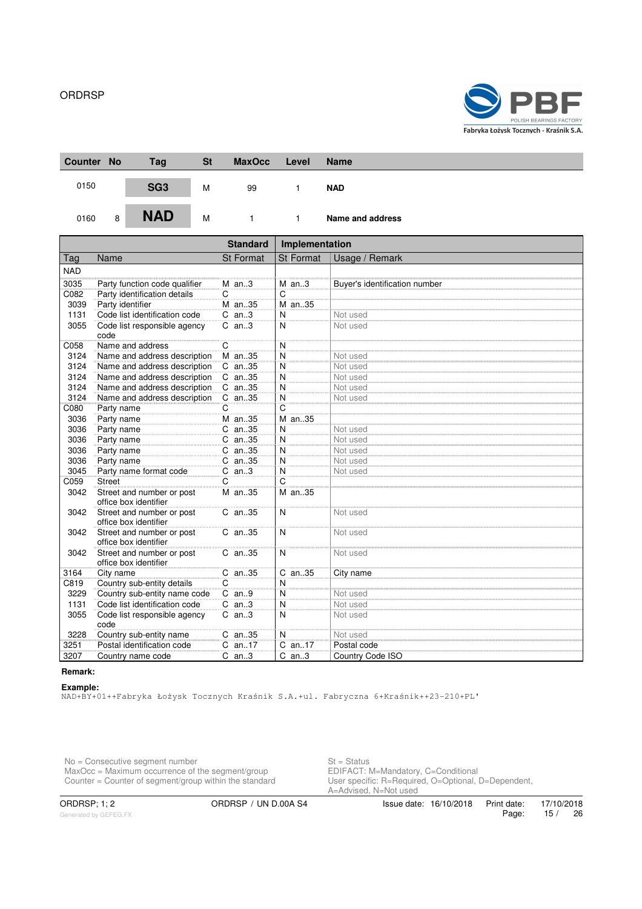

| Counter No | Tag             | <b>St</b> | <b>MaxOcc</b> | Level | <b>Name</b>      |
|------------|-----------------|-----------|---------------|-------|------------------|
| 0150       | SG <sub>3</sub> | M         | 99            |       | <b>NAD</b>       |
| 0160<br>8  | <b>NAD</b>      | M         |               |       | Name and address |

|            |                                                    | <b>Standard</b>  | Implementation |                               |  |  |
|------------|----------------------------------------------------|------------------|----------------|-------------------------------|--|--|
| Tag        | Name                                               | <b>St Format</b> | St Format      | Usage / Remark                |  |  |
| <b>NAD</b> |                                                    |                  |                |                               |  |  |
| 3035       | Party function code qualifier                      | $M$ an3          | $M$ an3        | Buyer's identification number |  |  |
| C082       | Party identification details                       | С                | C              |                               |  |  |
| 3039       | Party identifier                                   | M an35           | M an35         |                               |  |  |
| 1131       | Code list identification code                      | $C$ an3          | N              | Not used                      |  |  |
| 3055       | Code list responsible agency<br>code               | $C$ an3          | N              | Not used                      |  |  |
| C058       | Name and address                                   | С                | N              |                               |  |  |
| 3124       | Name and address description                       | M an35           | N              | Not used                      |  |  |
| 3124       | Name and address description                       | C an35           | N              | Not used                      |  |  |
| 3124       | Name and address description                       | C an35           | N              | Not used                      |  |  |
| 3124       | Name and address description                       | C an35           | N              | Not used                      |  |  |
| 3124       | Name and address description                       | C an35           | N              | Not used                      |  |  |
| C080       | Party name                                         | С                | C              |                               |  |  |
| 3036       | Party name                                         | M an35           | M an35         |                               |  |  |
| 3036       | Party name                                         | C an35           | N              | Not used                      |  |  |
| 3036       | Party name                                         | C an35           | N              | Not used                      |  |  |
| 3036       | Party name                                         | C an35           | $\overline{N}$ | Not used                      |  |  |
| 3036       | Party name                                         | C an35           | N              | Not used                      |  |  |
| 3045       | Party name format code                             | $C$ an3          | N              | Not used                      |  |  |
| C059       | <b>Street</b>                                      | C                | C              |                               |  |  |
| 3042       | Street and number or post<br>office box identifier | M an35           | M an35         |                               |  |  |
| 3042       | Street and number or post<br>office box identifier | C an35           | N              | Not used                      |  |  |
| 3042       | Street and number or post<br>office box identifier | C an35           | N              | Not used                      |  |  |
| 3042       | Street and number or post<br>office box identifier | C an35           | N              | Not used                      |  |  |
| 3164       | City name                                          | C an35           | C an35         | City name                     |  |  |
| C819       | Country sub-entity details                         | $\overline{C}$   | N              |                               |  |  |
| 3229       | Country sub-entity name code                       | $C$ an9          | N              | Not used                      |  |  |
| 1131       | Code list identification code                      | $C$ an3          | N              | Not used                      |  |  |
| 3055       | Code list responsible agency<br>code               | $C$ an3          | N              | Not used                      |  |  |
| 3228       | Country sub-entity name                            | C an35           | N              | Not used                      |  |  |
| 3251       | Postal identification code                         | $C$ an17         | C an17         | Postal code                   |  |  |
| 3207       | Country name code                                  | $C$ an3          | $C$ an3        | Country Code ISO              |  |  |

#### **Remark:**

**Example:** NAD+BY+01++Fabryka Łożysk Tocznych Kraśnik S.A.+ul. Fabryczna 6+Kraśnik++23-210+PL'

No = Consecutive segment number St = Status MaxOcc = Maximum occurrence of the segment/group **EDIFACT: M=Mandatory, C=Conditional** Counter = Counter of segment/group within the standard User specific: R=Required, O=Optional, D=Dependent,

Generated by GEFEG.FX

ORDRSP; 1; 2 ORDRSP / UN D.00A S4 Issue date: 16/10/2018

or – Janus<br>EDIFACT: M=Mandatory, C=Conditional<br>User specific: R=Required, O=Optional, D=Dependent,<br>A=Advised, N=Not used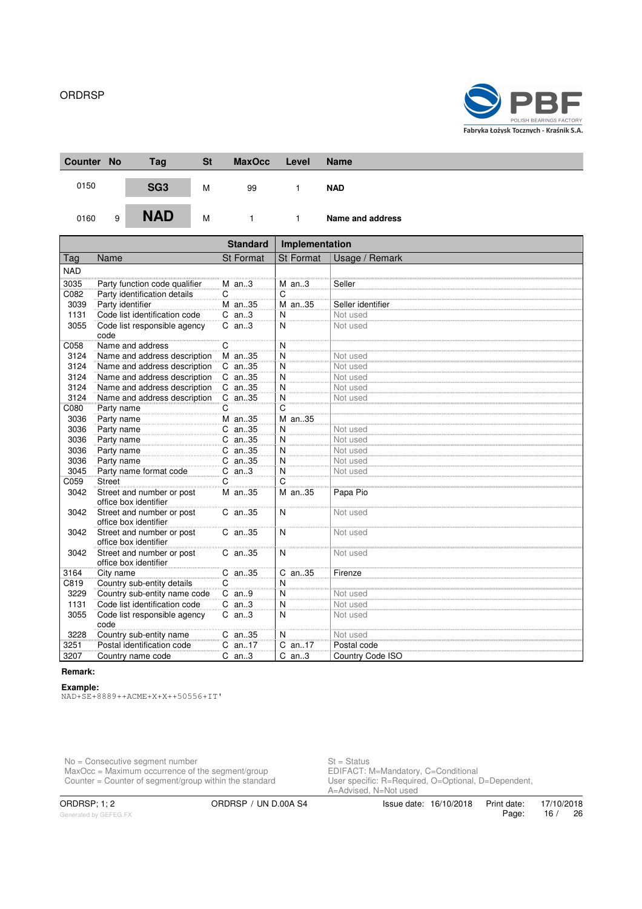

| Counter No | Tag             | <b>St</b> | <b>MaxOcc</b> | Level | <b>Name</b>      |
|------------|-----------------|-----------|---------------|-------|------------------|
| 0150       | SG <sub>3</sub> | M         | 99            |       | <b>NAD</b>       |
| 0160<br>9  | <b>NAD</b>      | M         |               |       | Name and address |

|            |                                                    | <b>Standard</b>  | Implementation |                   |  |  |
|------------|----------------------------------------------------|------------------|----------------|-------------------|--|--|
| Tag        | Name                                               | <b>St Format</b> | St Format      | Usage / Remark    |  |  |
| <b>NAD</b> |                                                    |                  |                |                   |  |  |
| 3035       | Party function code qualifier                      | $M$ an3          | $M$ an3        | Seller            |  |  |
| C082       | Party identification details                       | С                | C              |                   |  |  |
| 3039       | Party identifier                                   | M an35           | M an35         | Seller identifier |  |  |
| 1131       | Code list identification code                      | $C$ an3          | N              | Not used          |  |  |
| 3055       | Code list responsible agency<br>code               | $C$ an3          | N              | Not used          |  |  |
| C058       | Name and address                                   | C                | N              |                   |  |  |
| 3124       | Name and address description                       | M an35           | N              | Not used          |  |  |
| 3124       | Name and address description                       | C an35           | N              | Not used          |  |  |
| 3124       | Name and address description                       | C an35           | N              | Not used          |  |  |
| 3124       | Name and address description                       | C an35           | N              | Not used          |  |  |
| 3124       | Name and address description                       | C an35           | N              | Not used          |  |  |
| C080       | Party name                                         | С                | C              |                   |  |  |
| 3036       | Party name                                         | M an35           | M an35         |                   |  |  |
| 3036       | Party name                                         | C an35           | N              | Not used          |  |  |
| 3036       | Party name                                         | C an35           | N              | Not used          |  |  |
| 3036       | Party name                                         | C an35           | $\overline{N}$ | Not used          |  |  |
| 3036       | Party name                                         | C an35           | N              | Not used          |  |  |
| 3045       | Party name format code                             | $C$ an3          | N              | Not used          |  |  |
| C059       | <b>Street</b>                                      | C                | C              |                   |  |  |
| 3042       | Street and number or post<br>office box identifier | M an35           | M an35         | Papa Pio          |  |  |
| 3042       | Street and number or post<br>office box identifier | C an35           | N              | Not used          |  |  |
| 3042       | Street and number or post<br>office box identifier | C an35           | N              | Not used          |  |  |
| 3042       | Street and number or post<br>office box identifier | C an35           | N              | Not used          |  |  |
| 3164       | City name                                          | C an35           | C an35         | Firenze           |  |  |
| C819       | Country sub-entity details                         | $\overline{C}$   | N              |                   |  |  |
| 3229       | Country sub-entity name code                       | $C$ an9          | N              | Not used          |  |  |
| 1131       | Code list identification code                      | $C$ an3          | N              | Not used          |  |  |
| 3055       | Code list responsible agency<br>code               | $C$ an3          | N              | Not used          |  |  |
| 3228       | Country sub-entity name                            | C an35           | N              | Not used          |  |  |
| 3251       | Postal identification code                         | C an17           | C an17         | Postal code       |  |  |
| 3207       | Country name code                                  | $C$ an3          | $C$ an3        | Country Code ISO  |  |  |

#### **Remark:**

#### **Example:**

NAD+SE+8889++ACME+X+X++50556+IT'

No = Consecutive segment number St = Status MaxOcc = Maximum occurrence of the segment/group **EDIFACT: M=Mandatory, C=Conditional** Counter = Counter of segment/group within the standard User specific: R=Required, O=Optional, D=Dependent,

St = Status<br>EDIFACT: M=Mandatory, C=Conditional<br>User specific: R=Required, O=Optional, D=Dependent,<br>A=Advised, N=Not used

Generated by GEFEG.FX

ORDRSP; 1; 2 ORDRSP / UN D.00A S4 Issue date: 16/10/2018 Print date: 17/10/2018<br>Page: 16 / 26 Page: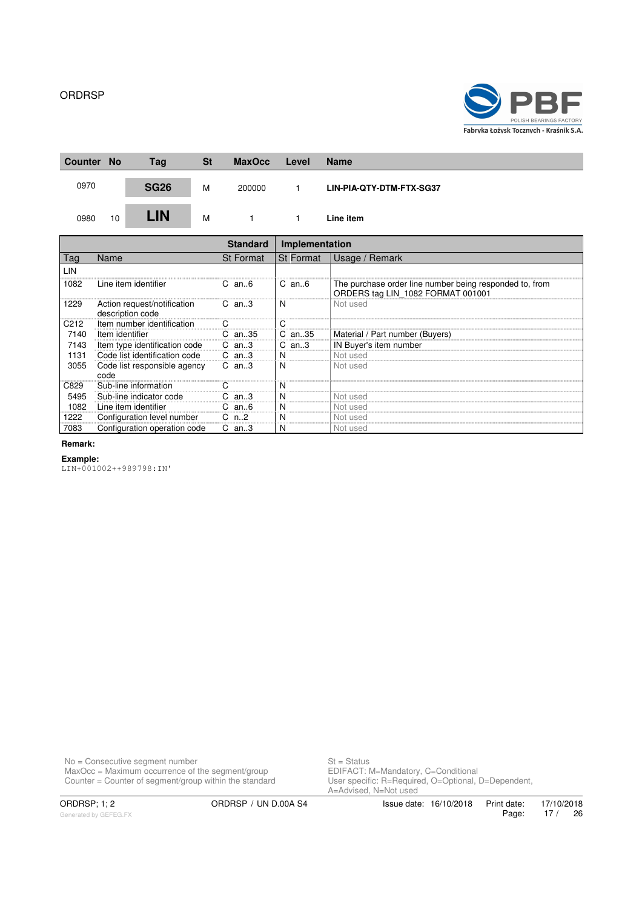

| <b>Counter</b> | <b>No</b> | Tag         | <b>St</b> | <b>MaxOcc</b>                   | Level                        | <b>Name</b>              |
|----------------|-----------|-------------|-----------|---------------------------------|------------------------------|--------------------------|
| 0970           |           | <b>SG26</b> | M         | 200000                          |                              | LIN-PIA-QTY-DTM-FTX-SG37 |
| 0980           | 10        | <b>LIN</b>  | м         |                                 |                              | Line item                |
|                |           |             |           | <b>Standard</b>                 | Implementation               |                          |
| $T_{2a}$       | Nomo      |             |           | $C$ + $L_{\alpha r m \alpha t}$ | $C+ E_{\alpha r m \alpha t}$ | $\bigcup$                |

| l ag | Name                                            | <b>St Format</b> | <b>St Format</b> | Usage / Remark                                                                               |
|------|-------------------------------------------------|------------------|------------------|----------------------------------------------------------------------------------------------|
| LIN  |                                                 |                  |                  |                                                                                              |
| 1082 | Line item identifier                            | $C$ an $6$       | $C$ an $6$       | The purchase order line number being responded to, from<br>ORDERS tag LIN 1082 FORMAT 001001 |
| 1229 | Action request/notification<br>description code | C an3            | -N               | Not used                                                                                     |
| C212 | Item number identification                      |                  |                  |                                                                                              |
| 7140 | Item identifier                                 | C.<br>an35       | C an35           | Material / Part number (Buyers)                                                              |
| 7143 | Item type identification code                   | $C$ an3          | $C$ an3          | IN Buyer's item number                                                                       |
| 1131 | Code list identification code                   | $C$ an3          |                  | Not used                                                                                     |
| 3055 | Code list responsible agency<br>code            | $C$ an3          | -N               | Not used                                                                                     |
| C829 | Sub-line information                            |                  |                  |                                                                                              |
| 5495 | Sub-line indicator code                         | an3              |                  | Not usec                                                                                     |
| 1082 | Line item identifier                            | C.<br>an6        |                  | Not used                                                                                     |
| 1222 | Configuration level number                      | C n2             |                  | Not used                                                                                     |
| 7083 | Configuration operation code                    | $C$ an3          | -N               | Not used                                                                                     |

#### **Remark:**

#### **Example:**

LIN+001002++989798:IN'

No = Consecutive segment number St = Status MaxOcc = Maximum occurrence of the segment/group **EDIFACT: M=Mandatory, C=Conditional** 

Counter = Counter of segment/group within the standard User specific: R=Required, O=Optional, D=Dependent, St = Status<br>EDIFACT: M=Mandatory, C=Conditional<br>User specific: R=Required, O=Optional, D=Dependent,<br>A=Advised, N=Not used

Generated by GEFEG.FX

ORDRSP; 1; 2 ORDRSP / UN D.00A S4 Issue date: 16/10/2018 Print date: 17/10/2018<br>Page: 17 / 26 17 / 26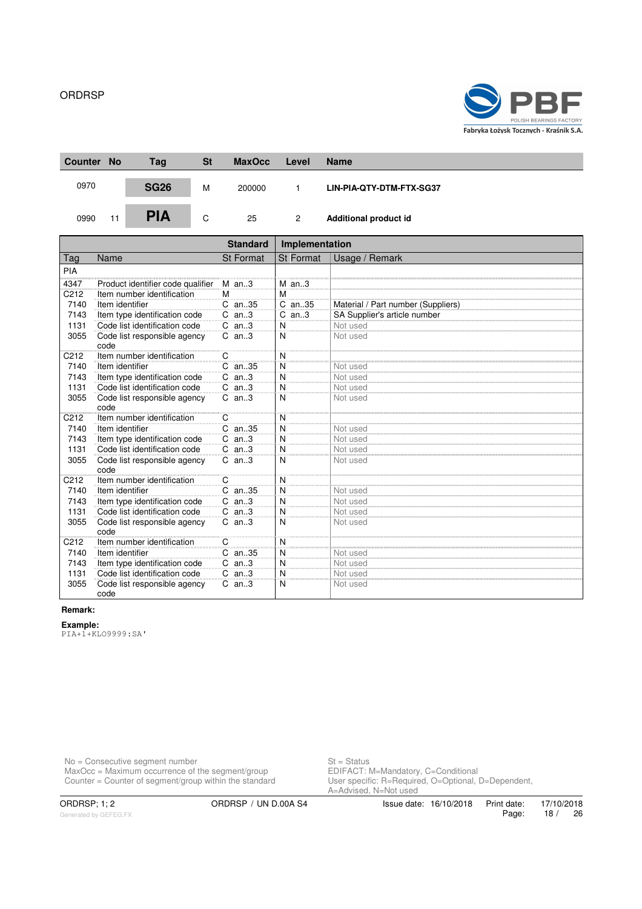

| <b>Counter</b> | <b>No</b> | Tag         | <b>St</b> | <b>MaxOcc</b> | Level | <b>Name</b>              |
|----------------|-----------|-------------|-----------|---------------|-------|--------------------------|
| 0970           |           | <b>SG26</b> | M         | 200000        |       | LIN-PIA-QTY-DTM-FTX-SG37 |
| 0990           | 11        | <b>PIA</b>  | C         | 25            | 2     | Additional product id    |

|                   |                                      | <b>Standard</b>  | Implementation   |                                    |
|-------------------|--------------------------------------|------------------|------------------|------------------------------------|
| Tag               | Name                                 | <b>St Format</b> | <b>St Format</b> | Usage / Remark                     |
| PIA               |                                      |                  |                  |                                    |
| 4347              | Product identifier code qualifier    | $M$ an3          | $M$ an3          |                                    |
| C212              | Item number identification           | M                | М                |                                    |
| 7140              | Item identifier                      | C an35           | C an35           | Material / Part number (Suppliers) |
| 7143              | Item type identification code        | $C$ an3          | $C$ an3          | SA Supplier's article number       |
| 1131              | Code list identification code        | $C$ an3          | N                | Not used                           |
| 3055              | Code list responsible agency<br>code | $C$ an3          | N                | Not used                           |
| C <sub>2</sub> 12 | Item number identification           | C                | N                |                                    |
| 7140              | Item identifier                      | C an35           | N                | Not used                           |
| 7143              | Item type identification code        | $C$ an3          | N                | Not used                           |
| 1131              | Code list identification code        | $C$ an3          | N                | Not used                           |
| 3055              | Code list responsible agency<br>code | $C$ an3          | N                | Not used                           |
| C <sub>212</sub>  | Item number identification           | C                | N                |                                    |
| 7140              | Item identifier                      | C an35           | N                | Not used                           |
| 7143              | Item type identification code        | $C$ an3          | N                | Not used                           |
| 1131              | Code list identification code        | $C$ an3          | N                | Not used                           |
| 3055              | Code list responsible agency<br>code | $C$ an3          | N                | Not used                           |
| C <sub>212</sub>  | Item number identification           | С                | N                |                                    |
| 7140              | Item identifier                      | C an35           | N                | Not used                           |
| 7143              | Item type identification code        | $C$ an3          | N                | Not used                           |
| 1131              | Code list identification code        | $C$ an3          | N                | Not used                           |
| 3055              | Code list responsible agency<br>code | $C$ an3          | N                | Not used                           |
| C212              | Item number identification           | C                | N                |                                    |
| 7140              | Item identifier                      | C an35           | N                | Not used                           |
| 7143              | Item type identification code        | $C$ an3          | N                | Not used                           |
| 1131              | Code list identification code        | $C$ an3          | N                | Not used                           |
| 3055              | Code list responsible agency<br>code | $C$ an3          | N                | Not used                           |

# **Remark:**

**Example:**

PIA+1+KLO9999:SA'

No = Consecutive segment number St = Status MaxOcc = Maximum occurrence of the segment/group **EDIFACT: M=Mandatory, C=Conditional** 

Counter = Counter of segment/group within the standard User specific: R=Required, O=Optional, D=Dependent, St = Status<br>EDIFACT: M=Mandatory, C=Conditional<br>User specific: R=Required, O=Optional, D=Dependent,<br>A=Advised, N=Not used

Generated by GEFEG.FX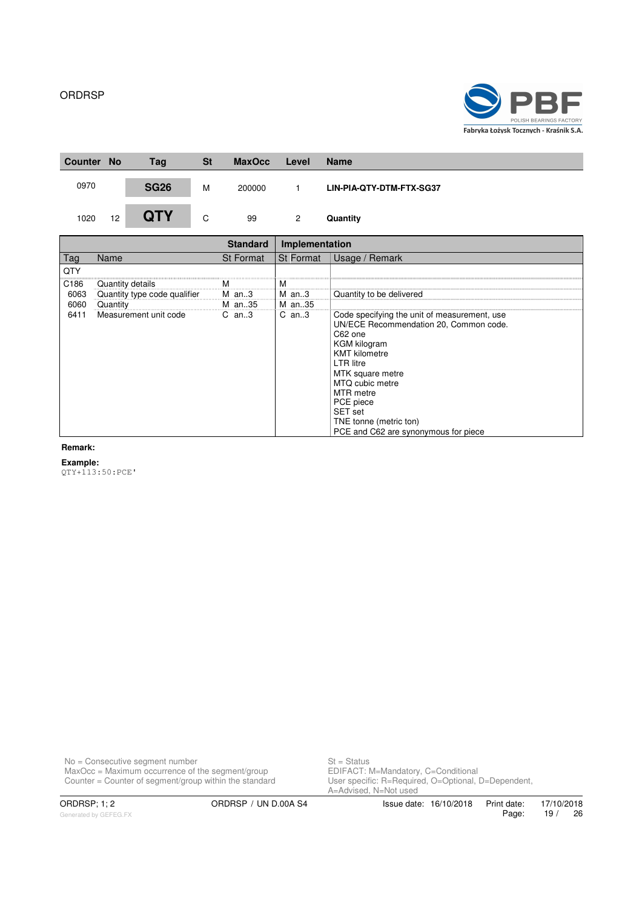

| <b>Counter</b> | <b>No</b> | Tag         | <b>St</b> | <b>MaxOcc</b> | Level | <b>Name</b>              |
|----------------|-----------|-------------|-----------|---------------|-------|--------------------------|
| 0970           |           | <b>SG26</b> | M         | 200000        |       | LIN-PIA-QTY-DTM-FTX-SG37 |
| 1020           | 12        | <b>QTY</b>  | C         | 99            | 2     | Quantity                 |

|                  |                              | <b>Standard</b> | Implementation   |                                                                                                                                                                                                                                                                                                                           |
|------------------|------------------------------|-----------------|------------------|---------------------------------------------------------------------------------------------------------------------------------------------------------------------------------------------------------------------------------------------------------------------------------------------------------------------------|
| lag              | Name                         | St Format       | <b>St Format</b> | Usage / Remark                                                                                                                                                                                                                                                                                                            |
| QTY              |                              |                 |                  |                                                                                                                                                                                                                                                                                                                           |
| C <sub>186</sub> | Quantity details             |                 |                  |                                                                                                                                                                                                                                                                                                                           |
| 6063             | Quantity type code qualifier | M an3           | M an3            | Quantity to be delivered                                                                                                                                                                                                                                                                                                  |
| 6060             | Quantity                     | M an35          | M an35           |                                                                                                                                                                                                                                                                                                                           |
| 6411             | Measurement unit code        | $C$ an3         | $C$ an3          | Code specifying the unit of measurement, use<br>UN/ECE Recommendation 20, Common code.<br>C62 one<br><b>KGM</b> kilogram<br><b>KMT</b> kilometre<br><b>LTR</b> litre<br>MTK square metre<br>MTQ cubic metre<br><b>MTR</b> metre<br>PCE piece<br>SET set<br>TNE tonne (metric ton)<br>PCE and C62 are synonymous for piece |

#### **Remark:**

**Example:**

QTY+113:50:PCE'

No = Consecutive segment number St = Status MaxOcc = Maximum occurrence of the segment/group **EDIFACT: M=Mandatory, C=Conditional** 

Counter = Counter of segment/group within the standard User specific: R=Required, O=Optional, D=Dependent, St = Status<br>EDIFACT: M=Mandatory, C=Conditional<br>User specific: R=Required, O=Optional, D=Dependent,<br>A=Advised, N=Not used

ORDRSP; 1; 2 ORDRSP / UN D.00A S4 Issue date: 16/10/2018 Print date: 17/10/2018<br>Page: 19 / 26 Page: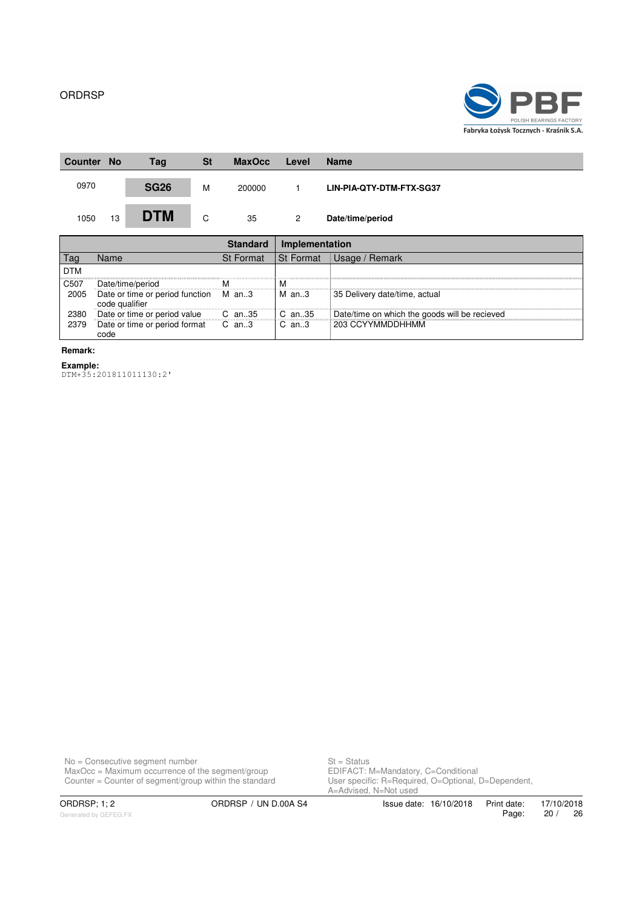

| <b>No</b><br><b>Counter</b> | Tag         | <b>St</b> | <b>MaxOcc</b> | Level | <b>Name</b>              |
|-----------------------------|-------------|-----------|---------------|-------|--------------------------|
| 0970                        | <b>SG26</b> | M         | 200000        |       | LIN-PIA-QTY-DTM-FTX-SG37 |
| 13<br>1050                  | <b>DTM</b>  | C         | 35            | 2     | Date/time/period         |

|            |                                                         |                  | <b>Implementation</b> |                                               |
|------------|---------------------------------------------------------|------------------|-----------------------|-----------------------------------------------|
|            | Name                                                    | <b>St Format</b> | <b>St Format</b>      | Usage / Remark                                |
| <b>DTM</b> |                                                         |                  |                       |                                               |
| C507       | Date/time/period                                        | м                | м                     |                                               |
| 2005       | Date or time or period function M an3<br>code qualifier |                  | M an3                 | 35 Delivery date/time, actual                 |
| 2380       | Date or time or period value                            | $C$ an $.35$     | C an35                | Date/time on which the goods will be recieved |
| 2379       | Date or time or period format<br>code                   | $C$ an3          | $C$ an3               | 203 CCYYMMDDHHMM                              |

**Remark:**

**Example:** DTM+35:201811011130:2'

No = Consecutive segment number St = Status MaxOcc = Maximum occurrence of the segment/group **EDIFACT: M=Mandatory, C=Conditional** 

Counter = Counter of segment/group within the standard User specific: R=Required, O=Optional, D=Dependent, St = Status<br>EDIFACT: M=Mandatory, C=Conditional<br>User specific: R=Required, O=Optional, D=Dependent,<br>A=Advised, N=Not used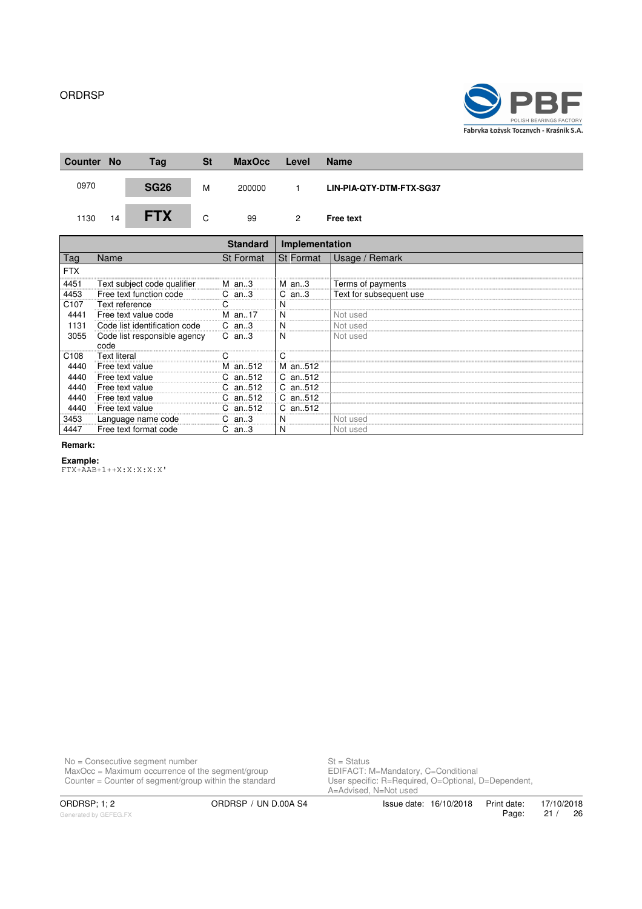

| <b>Counter</b> | <b>No</b> | Tag         | <b>St</b> | <b>MaxOcc</b> | Level | <b>Name</b>              |
|----------------|-----------|-------------|-----------|---------------|-------|--------------------------|
| 0970           |           | <b>SG26</b> | M         | 200000        |       | LIN-PIA-QTY-DTM-FTX-SG37 |
| 1130           | 14        | <b>FTX</b>  | C         | 99            | 2     | <b>Free text</b>         |

|                  |                                      | <b>Standard</b>  | Implementation   |                         |
|------------------|--------------------------------------|------------------|------------------|-------------------------|
| <b>l</b> ag      | Name                                 | <b>St Format</b> | <b>St Format</b> | Usage / Remark          |
| FTX              |                                      |                  |                  |                         |
| 4451             | Text subject code qualifier<br>      | M an3            | M an3            | Terms of payments       |
| 4453             | Free text function code              | $C$ an3          | $C$ an3          | Text for subsequent use |
| C <sub>107</sub> | Text reference                       |                  |                  |                         |
| 4441             | Free text value code                 | M an17           | N                | Not used                |
| 1131             | Code list identification code        | $C$ an3          | N                | Not used                |
| 3055             | Code list responsible agency<br>code | $C$ an3          | N                | Not used                |
| C <sub>108</sub> | <b>Text literal</b>                  |                  |                  |                         |
| 4440             | Free text value                      | M an512          | M an512          |                         |
| 4440             | Free text value                      | an512            | C an512          |                         |
| 4440             | Free text value                      | an512            | C an512          |                         |
| 4440             | Free text value                      | an512            | C an512          |                         |
| 4440             | Free text value                      | an512            | C an512          |                         |
| 3453             | Language name code                   | an3              |                  | Not used                |
| 4447             | Free text format code                | C.<br>an3        | N                | Not used                |

#### **Remark:**

#### **Example:**

FTX+AAB+1++X:X:X:X:X'

No = Consecutive segment number St = Status MaxOcc = Maximum occurrence of the segment/group **EDIFACT: M=Mandatory, C=Conditional** 

Counter = Counter of segment/group within the standard User specific: R=Required, O=Optional, D=Dependent, St = Status<br>EDIFACT: M=Mandatory, C=Conditional<br>User specific: R=Required, O=Optional, D=Dependent,<br>A=Advised, N=Not used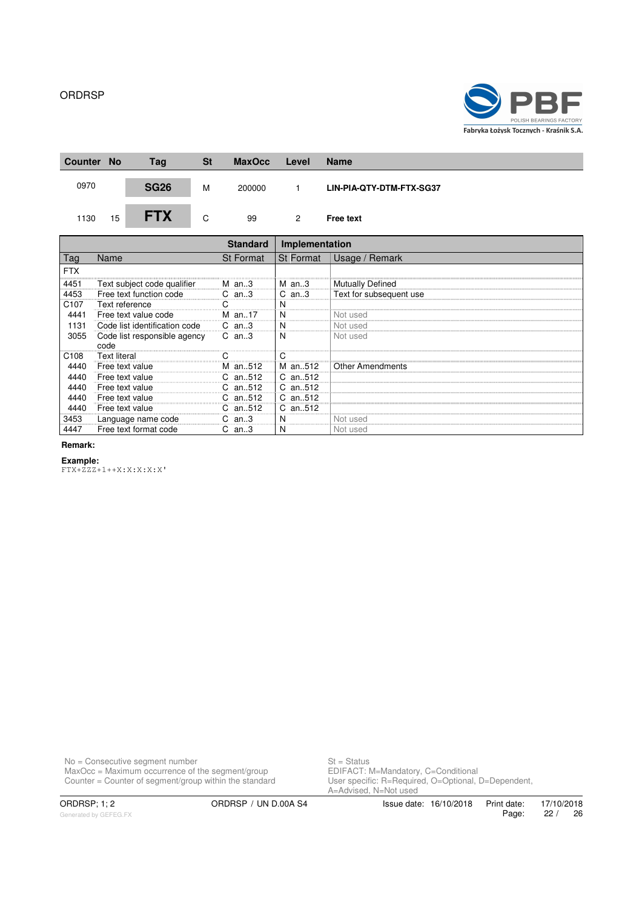

| <b>Counter</b> | <b>No</b> | Tag         | <b>St</b> | <b>MaxOcc</b> | Level | <b>Name</b>              |
|----------------|-----------|-------------|-----------|---------------|-------|--------------------------|
| 0970           |           | <b>SG26</b> | M         | 200000        |       | LIN-PIA-QTY-DTM-FTX-SG37 |
| 1130           | 15        | <b>FTX</b>  | C         | 99            | 2     | <b>Free text</b>         |

|             |                                      | <b>Standard</b>  | Implementation |                         |
|-------------|--------------------------------------|------------------|----------------|-------------------------|
| <u>l</u> aq | Name                                 | <b>St Format</b> | St Format      | Usage / Remark          |
| FTX         |                                      |                  |                |                         |
| 4451        | Text subject code qualifier M an3    |                  | an3<br>M       | <b>Mutually Defined</b> |
| 4453        | Free text function code              | $C$ an3          | an3            | Text for subsequent use |
| C107        | Text reference                       |                  |                |                         |
| 4441        | Free text value code                 | M an17           | N              | Not used                |
| 131         | Code list identification code        | C<br>an. 3       | N              | Not used                |
| 3055        | Code list responsible agency<br>code | $C$ an3          | N              | Not used                |
| C108        | <b>Text literal</b>                  |                  |                |                         |
|             | Free text value                      | an512            | M an512        | <b>Other Amendments</b> |
|             | Free text value                      | an512            | C an512        |                         |
|             | Free text value                      | an512            | C an512        |                         |
|             | Free text value                      | an512            | C an512        |                         |
| 4440        | Free text value                      | an512            | C an512        |                         |
| 3453        | Language name code                   | an $3$           | N<br>          | Not used                |
| 4447        | Free text format code                | C.<br>an3        | N              | Not used                |

#### **Remark:**

#### **Example:**

FTX+ZZZ+1++X:X:X:X:X'

No = Consecutive segment number St = Status MaxOcc = Maximum occurrence of the segment/group **EDIFACT: M=Mandatory, C=Conditional** 

Counter = Counter of segment/group within the standard User specific: R=Required, O=Optional, D=Dependent, St = Status<br>EDIFACT: M=Mandatory, C=Conditional<br>User specific: R=Required, O=Optional, D=Dependent,<br>A=Advised, N=Not used

ORDRSP; 1; 2 ORDRSP / UN D.00A S4 Issue date: 16/10/2018 Print date: 17/10/2018<br>Page: 22 / 26 22 / 26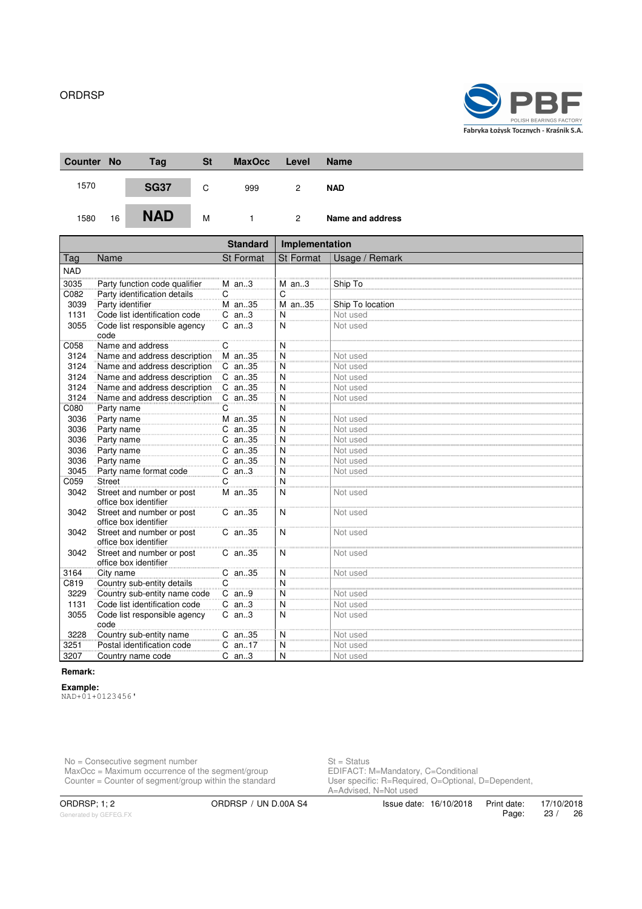

| Counter No |    | Tag         | <b>St</b> | <b>MaxOcc</b> | Level          | <b>Name</b>      |
|------------|----|-------------|-----------|---------------|----------------|------------------|
| 1570       |    | <b>SG37</b> | C         | 999           | 2              | <b>NAD</b>       |
| 1580       | 16 | <b>NAD</b>  | M         |               | $\overline{2}$ | Name and address |

|            |                                                    | <b>Standard</b>  | Implementation   |                  |  |
|------------|----------------------------------------------------|------------------|------------------|------------------|--|
| Tag        | Name                                               | <b>St Format</b> | <b>St Format</b> | Usage / Remark   |  |
| <b>NAD</b> |                                                    |                  |                  |                  |  |
| 3035       | Party function code qualifier                      | $M$ an3          | $M$ an3          | Ship To          |  |
| C082       | Party identification details                       | С                | C                |                  |  |
| 3039       | Party identifier                                   | M an35           | M an35           | Ship To location |  |
| 1131       | Code list identification code                      | $C$ an3          | N                | Not used         |  |
| 3055       | Code list responsible agency<br>code               | $C$ an3          | N                | Not used         |  |
| C058       | Name and address                                   | C                | N                |                  |  |
| 3124       | Name and address description                       | M an35           | N                | Not used         |  |
| 3124       | Name and address description                       | C an35           | N                | Not used         |  |
| 3124       | Name and address description                       | C an35           | N                | Not used         |  |
| 3124       | Name and address description                       | C an35           | N                | Not used         |  |
| 3124       | Name and address description                       | C an35           | N                | Not used         |  |
| C080       | Party name                                         | С                | N                |                  |  |
| 3036       | Party name                                         | M an35           | N                | Not used         |  |
| 3036       | Party name                                         | C an35           | N                | Not used         |  |
| 3036       | Party name                                         | C an35           | N                | Not used         |  |
| 3036       | Party name                                         | C an35           | $\overline{N}$   | Not used         |  |
| 3036       | Party name                                         | C an35           | $\overline{N}$   | Not used         |  |
| 3045       | Party name format code                             | $C$ an3          | N                | Not used         |  |
| C059       | <b>Street</b>                                      | C                | N                |                  |  |
| 3042       | Street and number or post<br>office box identifier | M an35           | N                | Not used         |  |
| 3042       | Street and number or post<br>office box identifier | C an35           | N                | Not used         |  |
| 3042       | Street and number or post<br>office box identifier | C an35           | N                | Not used         |  |
| 3042       | Street and number or post<br>office box identifier | C an35           | N                | Not used         |  |
| 3164       | City name                                          | C an35           | N                | Not used         |  |
| C819       | Country sub-entity details                         | C                | N                |                  |  |
| 3229       | Country sub-entity name code                       | $C$ an9          | N                | Not used         |  |
| 1131       | Code list identification code                      | $C$ an3          | N                | Not used         |  |
| 3055       | Code list responsible agency<br>code               | $C$ an3          | N                | Not used         |  |
| 3228       | Country sub-entity name                            | C an35           | N                | Not used         |  |
| 3251       | Postal identification code                         | $C$ an17         | N                | Not used         |  |
| 3207       | Country name code                                  | $C$ an3          | N                | Not used         |  |

#### **Remark:**

**Example:**

NAD+01+0123456'

No = Consecutive segment number St = Status MaxOcc = Maximum occurrence of the segment/group **EDIFACT: M=Mandatory, C=Conditional** Counter = Counter of segment/group within the standard User specific: R=Required, O=Optional, D=Dependent,

St = Status<br>EDIFACT: M=Mandatory, C=Conditional<br>User specific: R=Required, O=Optional, D=Dependent,<br>A=Advised, N=Not used

Generated by GEFEG.FX

ORDRSP; 1; 2 ORDRSP / UN D.00A S4 Issue date: 16/10/2018 Print date: 17/10/2018<br>Page: 23 / 26 Page: 23 / 26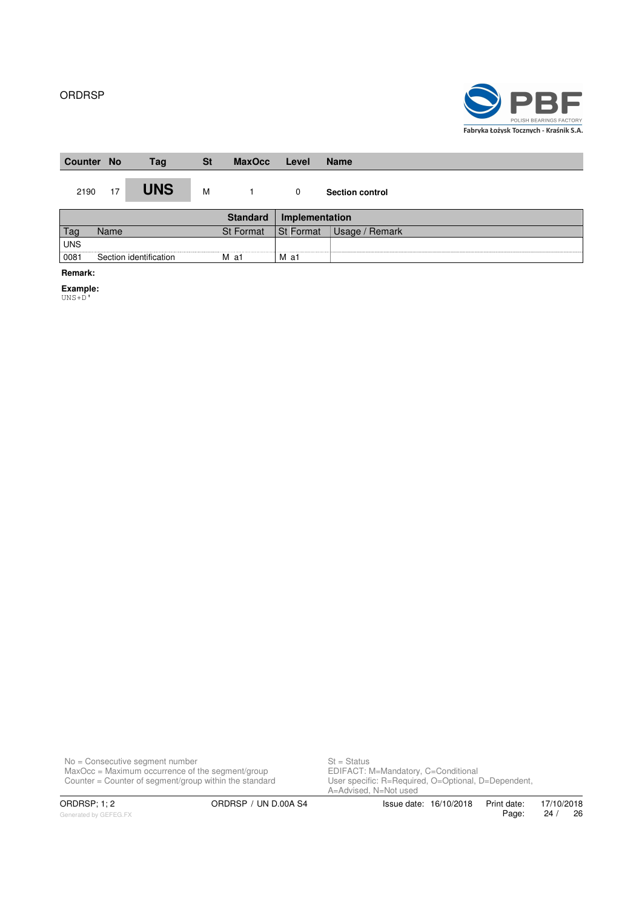

| <b>Counter No</b> |      | Tag                    | <b>St</b> | <b>MaxOcc</b>    | Level          | <b>Name</b>            |
|-------------------|------|------------------------|-----------|------------------|----------------|------------------------|
| 2190              | 17   | <b>UNS</b>             | M         |                  | 0              | <b>Section control</b> |
|                   |      |                        |           | <b>Standard</b>  | Implementation |                        |
| Tag               | Name |                        |           | <b>St Format</b> | St Format      | Usage / Remark         |
| <b>UNS</b>        |      |                        |           |                  |                |                        |
| 0081              |      | Section identification |           | M a1             | M a1           |                        |

**Remark:**

**Example:**

UNS+D'

No = Consecutive segment number St = Status MaxOcc = Maximum occurrence of the segment/group **EDIFACT: M=Mandatory, C=Conditional** Counter = Counter of segment/group within the standard User specific: R=Required, O=Optional, D=Dependent,

St = Status<br>EDIFACT: M=Mandatory, C=Conditional<br>User specific: R=Required, O=Optional, D=Dependent,<br>A=Advised, N=Not used

Print date: 17/10/2018<br>Page: 24 / 26 Page: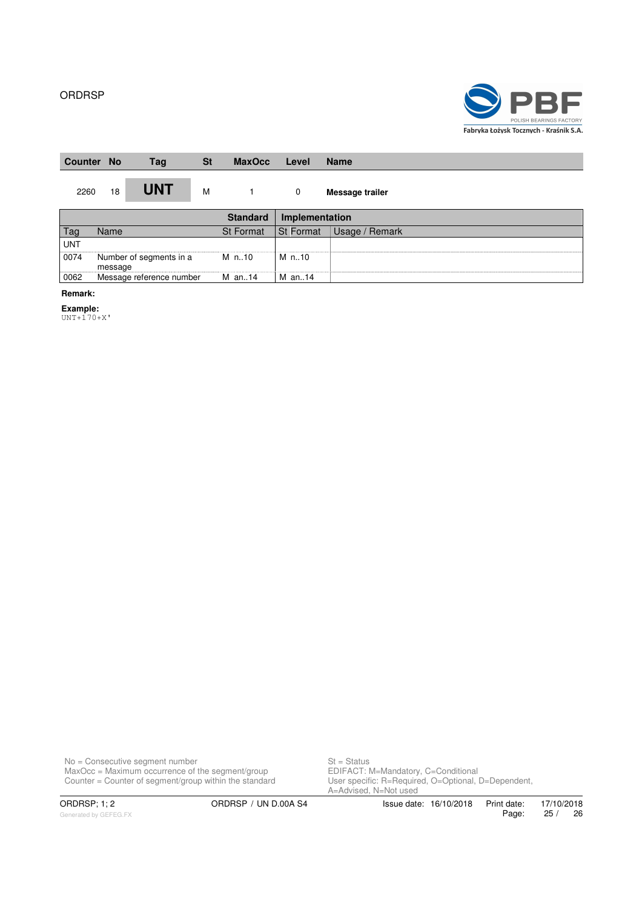

| <b>Counter</b> | <b>No</b> | Tag                     | <b>St</b> | <b>MaxOcc</b>    | Level          | <b>Name</b>     |
|----------------|-----------|-------------------------|-----------|------------------|----------------|-----------------|
| 2260           | 18        | <b>UNT</b>              | M         |                  | 0              | Message trailer |
|                |           |                         |           | <b>Standard</b>  | Implementation |                 |
| Tag            | Name      |                         |           | <b>St Format</b> | St Format      | Usage / Remark  |
| <b>UNT</b>     |           |                         |           |                  |                |                 |
| 0074           | message   | Number of segments in a |           | M n10            | M n10          |                 |

**Remark:**

#### **Example:**

UNT+170+X'

0062 Message reference number M an..14 M an..14

No = Consecutive segment number St = Status MaxOcc = Maximum occurrence of the segment/group **EDIFACT: M=Mandatory, C=Conditional** Counter = Counter of segment/group within the standard User specific: R=Required, O=Optional, D=Dependent,

St = Status<br>EDIFACT: M=Mandatory, C=Conditional<br>User specific: R=Required, O=Optional, D=Dependent,<br>A=Advised, N=Not used

Generated by GEFEG.FX

ORDRSP; 1; 2 ORDRSP / UN D.00A S4 Issue date: 16/10/2018 Print date: 17/10/2018<br>Page: 25 / 26 Page: